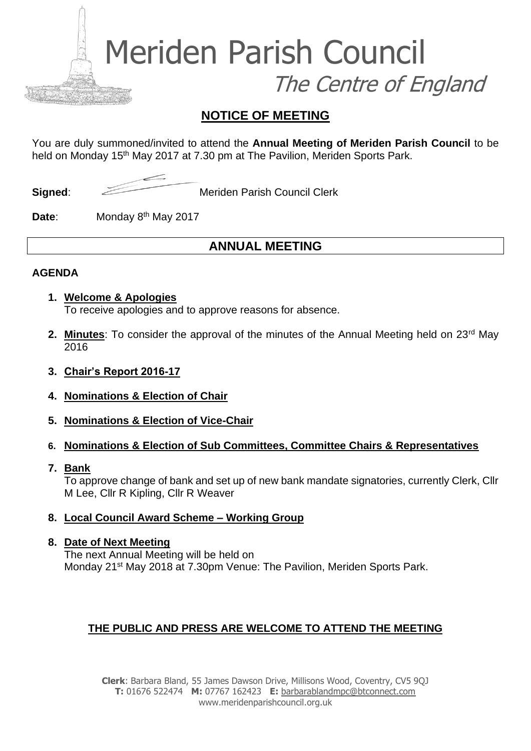Meriden Parish Council The Centre of England

## **NOTICE OF MEETING**

You are duly summoned/invited to attend the **Annual Meeting of Meriden Parish Council** to be held on Monday 15<sup>th</sup> May 2017 at 7.30 pm at The Pavilion, Meriden Sports Park.

**Signed:** Meriden Parish Council Clerk

**Date:** Monday 8<sup>th</sup> May 2017

# **ANNUAL MEETING**

#### **AGENDA**

- **1. Welcome & Apologies** To receive apologies and to approve reasons for absence.
- **2. Minutes**: To consider the approval of the minutes of the Annual Meeting held on 23<sup>rd</sup> May 2016
- **3. Chair's Report 2016-17**
- **4. Nominations & Election of Chair**
- **5. Nominations & Election of Vice-Chair**
- **6. Nominations & Election of Sub Committees, Committee Chairs & Representatives**
- **7. Bank**

To approve change of bank and set up of new bank mandate signatories, currently Clerk, Cllr M Lee, Cllr R Kipling, Cllr R Weaver

**8. Local Council Award Scheme – Working Group**

#### **8. Date of Next Meeting**

The next Annual Meeting will be held on Monday 21<sup>st</sup> May 2018 at 7.30pm Venue: The Pavilion, Meriden Sports Park.

## **THE PUBLIC AND PRESS ARE WELCOME TO ATTEND THE MEETING**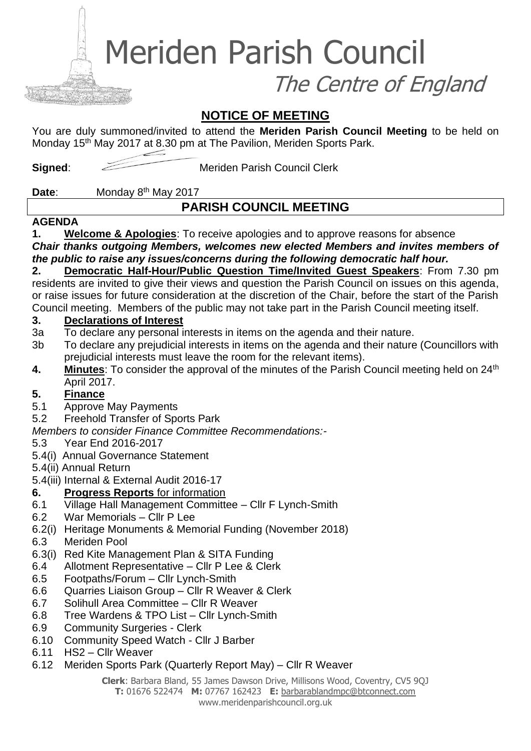Meriden Parish Council

The Centre of England

## **NOTICE OF MEETING**

You are duly summoned/invited to attend the **Meriden Parish Council Meeting** to be held on Monday 15<sup>th</sup> May 2017 at 8.30 pm at The Pavilion, Meriden Sports Park.

**Signed:** Meriden Parish Council Clerk

**Date:** Monday 8<sup>th</sup> May 2017

# **PARISH COUNCIL MEETING**

#### **AGENDA**

**1. Welcome & Apologies**: To receive apologies and to approve reasons for absence *Chair thanks outgoing Members, welcomes new elected Members and invites members of the public to raise any issues/concerns during the following democratic half hour.* 

**2. Democratic Half-Hour/Public Question Time/Invited Guest Speakers**: From 7.30 pm residents are invited to give their views and question the Parish Council on issues on this agenda, or raise issues for future consideration at the discretion of the Chair, before the start of the Parish Council meeting. Members of the public may not take part in the Parish Council meeting itself.

## **3. Declarations of Interest**

- 3a To declare any personal interests in items on the agenda and their nature.
- 3b To declare any prejudicial interests in items on the agenda and their nature (Councillors with prejudicial interests must leave the room for the relevant items).
- **4.** Minutes: To consider the approval of the minutes of the Parish Council meeting held on 24<sup>th</sup> April 2017.

## **5. Finance**

- 5.1 Approve May Payments
- 5.2 Freehold Transfer of Sports Park

*Members to consider Finance Committee Recommendations:-*

- 5.3 Year End 2016-2017
- 5.4(i) Annual Governance Statement
- 5.4(ii) Annual Return
- 5.4(iii) Internal & External Audit 2016-17
- **6. Progress Reports** for information
- 6.1 Village Hall Management Committee Cllr F Lynch-Smith
- 6.2 War Memorials Cllr P Lee
- 6.2(i) Heritage Monuments & Memorial Funding (November 2018)
- 6.3 Meriden Pool
- 6.3(i) Red Kite Management Plan & SITA Funding
- 6.4 Allotment Representative Cllr P Lee & Clerk
- 6.5 Footpaths/Forum Cllr Lynch-Smith
- 6.6 Quarries Liaison Group Cllr R Weaver & Clerk
- 6.7 Solihull Area Committee Cllr R Weaver
- 6.8 Tree Wardens & TPO List Cllr Lynch-Smith
- 6.9 Community Surgeries Clerk
- 6.10 Community Speed Watch Cllr J Barber
- 6.11 HS2 Cllr Weaver
- 6.12 Meriden Sports Park (Quarterly Report May) Cllr R Weaver

**Clerk**: Barbara Bland, 55 James Dawson Drive, Millisons Wood, Coventry, CV5 9QJ **T:** 01676 522474 **M:** 07767 162423 **E:** [barbarablandmpc@btconnect.com](mailto:barbarablandmpc@btconnect.com) www.meridenparishcouncil.org.uk